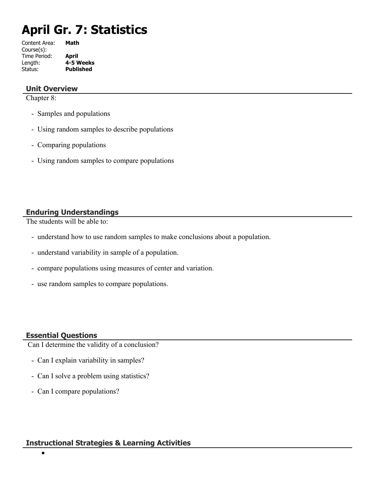# **April Gr. 7: Statistics**

| Content Area: | Math             |
|---------------|------------------|
| Course(s):    |                  |
| Time Period:  | April            |
| Length:       | 4-5 Weeks        |
| Status:       | <b>Published</b> |
|               |                  |

#### **Unit Overview**

Chapter 8:

- Samples and populations
- Using random samples to describe populations
- Comparing populations
- Using random samples to compare populations

#### **Enduring Understandings**

The students will be able to:

- understand how to use random samples to make conclusions about a population.
- understand variability in sample of a population.
- compare populations using measures of center and variation.
- use random samples to compare populations.

#### **Essential Questions**

 $\bullet$ 

Can I determine the validity of a conclusion?

- Can I explain variability in samples?
- Can I solve a problem using statistics?
- Can I compare populations?

#### **Instructional Strategies & Learning Activities**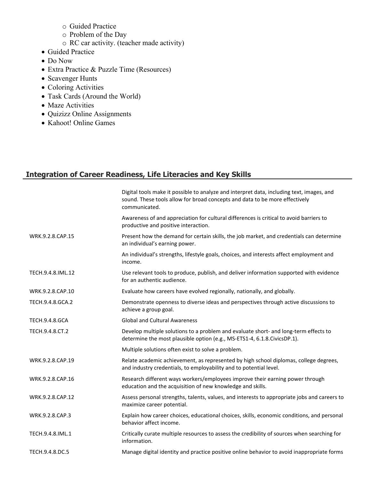- o Guided Practice
- o Problem of the Day
- o RC car activity. (teacher made activity)
- Guided Practice
- Do Now
- Extra Practice & Puzzle Time (Resources)
- Scavenger Hunts
- Coloring Activities
- Task Cards (Around the World)
- Maze Activities
- Quizizz Online Assignments
- Kahoot! Online Games

# **Integration of Career Readiness, Life Literacies and Key Skills**

|                       | Digital tools make it possible to analyze and interpret data, including text, images, and<br>sound. These tools allow for broad concepts and data to be more effectively<br>communicated. |
|-----------------------|-------------------------------------------------------------------------------------------------------------------------------------------------------------------------------------------|
|                       | Awareness of and appreciation for cultural differences is critical to avoid barriers to<br>productive and positive interaction.                                                           |
| WRK.9.2.8.CAP.15      | Present how the demand for certain skills, the job market, and credentials can determine<br>an individual's earning power.                                                                |
|                       | An individual's strengths, lifestyle goals, choices, and interests affect employment and<br>income.                                                                                       |
| TECH.9.4.8.IML.12     | Use relevant tools to produce, publish, and deliver information supported with evidence<br>for an authentic audience.                                                                     |
| WRK.9.2.8.CAP.10      | Evaluate how careers have evolved regionally, nationally, and globally.                                                                                                                   |
| TECH.9.4.8.GCA.2      | Demonstrate openness to diverse ideas and perspectives through active discussions to<br>achieve a group goal.                                                                             |
| <b>TECH.9.4.8.GCA</b> | <b>Global and Cultural Awareness</b>                                                                                                                                                      |
| TECH.9.4.8.CT.2       | Develop multiple solutions to a problem and evaluate short- and long-term effects to<br>determine the most plausible option (e.g., MS-ETS1-4, 6.1.8.CivicsDP.1).                          |
|                       | Multiple solutions often exist to solve a problem.                                                                                                                                        |
| WRK.9.2.8.CAP.19      | Relate academic achievement, as represented by high school diplomas, college degrees,<br>and industry credentials, to employability and to potential level.                               |
| WRK.9.2.8.CAP.16      | Research different ways workers/employees improve their earning power through<br>education and the acquisition of new knowledge and skills.                                               |
| WRK.9.2.8.CAP.12      | Assess personal strengths, talents, values, and interests to appropriate jobs and careers to<br>maximize career potential.                                                                |
| WRK.9.2.8.CAP.3       | Explain how career choices, educational choices, skills, economic conditions, and personal<br>behavior affect income.                                                                     |
| TECH.9.4.8.IML.1      | Critically curate multiple resources to assess the credibility of sources when searching for<br>information.                                                                              |
| TECH.9.4.8.DC.5       | Manage digital identity and practice positive online behavior to avoid inappropriate forms                                                                                                |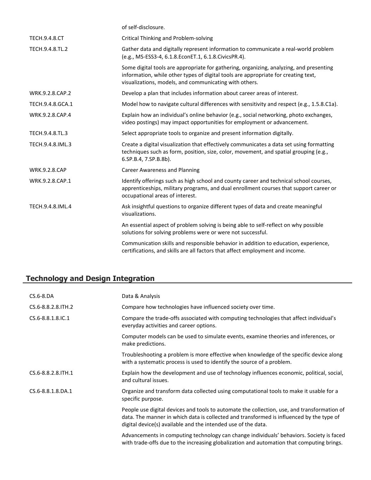|                      | of self-disclosure.                                                                                                                                                                                                                     |
|----------------------|-----------------------------------------------------------------------------------------------------------------------------------------------------------------------------------------------------------------------------------------|
| <b>TECH.9.4.8.CT</b> | <b>Critical Thinking and Problem-solving</b>                                                                                                                                                                                            |
| TECH.9.4.8.TL.2      | Gather data and digitally represent information to communicate a real-world problem<br>(e.g., MS-ESS3-4, 6.1.8.EconET.1, 6.1.8.CivicsPR.4).                                                                                             |
|                      | Some digital tools are appropriate for gathering, organizing, analyzing, and presenting<br>information, while other types of digital tools are appropriate for creating text,<br>visualizations, models, and communicating with others. |
| WRK.9.2.8.CAP.2      | Develop a plan that includes information about career areas of interest.                                                                                                                                                                |
| TECH.9.4.8.GCA.1     | Model how to navigate cultural differences with sensitivity and respect (e.g., 1.5.8.C1a).                                                                                                                                              |
| WRK.9.2.8.CAP.4      | Explain how an individual's online behavior (e.g., social networking, photo exchanges,<br>video postings) may impact opportunities for employment or advancement.                                                                       |
| TECH.9.4.8.TL.3      | Select appropriate tools to organize and present information digitally.                                                                                                                                                                 |
| TECH.9.4.8.IML.3     | Create a digital visualization that effectively communicates a data set using formatting<br>techniques such as form, position, size, color, movement, and spatial grouping (e.g.,<br>6.SP.B.4, 7.SP.B.8b).                              |
| <b>WRK.9.2.8.CAP</b> | <b>Career Awareness and Planning</b>                                                                                                                                                                                                    |
| WRK.9.2.8.CAP.1      | Identify offerings such as high school and county career and technical school courses,<br>apprenticeships, military programs, and dual enrollment courses that support career or<br>occupational areas of interest.                     |
| TECH.9.4.8.IML.4     | Ask insightful questions to organize different types of data and create meaningful<br>visualizations.                                                                                                                                   |
|                      | An essential aspect of problem solving is being able to self-reflect on why possible<br>solutions for solving problems were or were not successful.                                                                                     |
|                      | Communication skills and responsible behavior in addition to education, experience,<br>certifications, and skills are all factors that affect employment and income.                                                                    |
|                      |                                                                                                                                                                                                                                         |

# **Technology and Design Integration**

| $CS.6 - 8.DA$        | Data & Analysis                                                                                                                                                                                                                                          |
|----------------------|----------------------------------------------------------------------------------------------------------------------------------------------------------------------------------------------------------------------------------------------------------|
| CS.6-8.8.2.8. ITH. 2 | Compare how technologies have influenced society over time.                                                                                                                                                                                              |
| CS.6-8.8.1.8.IC.1    | Compare the trade-offs associated with computing technologies that affect individual's<br>everyday activities and career options.                                                                                                                        |
|                      | Computer models can be used to simulate events, examine theories and inferences, or<br>make predictions.                                                                                                                                                 |
|                      | Troubleshooting a problem is more effective when knowledge of the specific device along<br>with a systematic process is used to identify the source of a problem.                                                                                        |
| CS.6-8.8.2.8. ITH. 1 | Explain how the development and use of technology influences economic, political, social,<br>and cultural issues.                                                                                                                                        |
| CS.6-8.8.1.8.DA.1    | Organize and transform data collected using computational tools to make it usable for a<br>specific purpose.                                                                                                                                             |
|                      | People use digital devices and tools to automate the collection, use, and transformation of<br>data. The manner in which data is collected and transformed is influenced by the type of<br>digital device(s) available and the intended use of the data. |
|                      | Advancements in computing technology can change individuals' behaviors. Society is faced<br>with trade-offs due to the increasing globalization and automation that computing brings.                                                                    |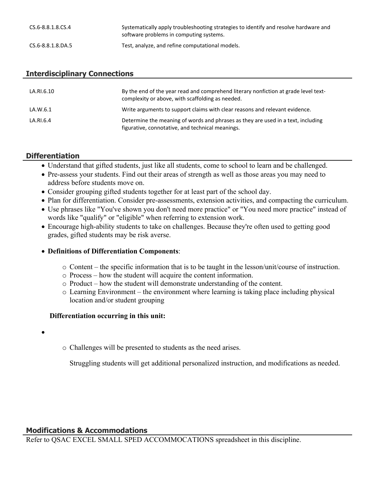| CS.6-8.8.1.8.CS.4 | Systematically apply troubleshooting strategies to identify and resolve hardware and<br>software problems in computing systems. |
|-------------------|---------------------------------------------------------------------------------------------------------------------------------|
| CS.6-8.8.1.8.DA.5 | Test, analyze, and refine computational models.                                                                                 |

#### **Interdisciplinary Connections**

| LA.RI.6.10 | By the end of the year read and comprehend literary nonfiction at grade level text-<br>complexity or above, with scaffolding as needed. |
|------------|-----------------------------------------------------------------------------------------------------------------------------------------|
| LA.W.6.1   | Write arguments to support claims with clear reasons and relevant evidence.                                                             |
| LA.RI.6.4  | Determine the meaning of words and phrases as they are used in a text, including<br>figurative, connotative, and technical meanings.    |

## **Differentiation**

- Understand that gifted students, just like all students, come to school to learn and be challenged.
- Pre-assess your students. Find out their areas of strength as well as those areas you may need to address before students move on.
- Consider grouping gifted students together for at least part of the school day.
- Plan for differentiation. Consider pre-assessments, extension activities, and compacting the curriculum.
- Use phrases like "You've shown you don't need more practice" or "You need more practice" instead of words like "qualify" or "eligible" when referring to extension work.
- Encourage high-ability students to take on challenges. Because they're often used to getting good grades, gifted students may be risk averse.

#### **Definitions of Differentiation Components**:

- o Content the specific information that is to be taught in the lesson/unit/course of instruction.
- o Process how the student will acquire the content information.
- o Product how the student will demonstrate understanding of the content.
- o Learning Environment the environment where learning is taking place including physical location and/or student grouping

#### **Differentiation occurring in this unit:**

- $\bullet$
- o Challenges will be presented to students as the need arises.

Struggling students will get additional personalized instruction, and modifications as needed.

#### **Modifications & Accommodations**

Refer to QSAC EXCEL SMALL SPED ACCOMMOCATIONS spreadsheet in this discipline.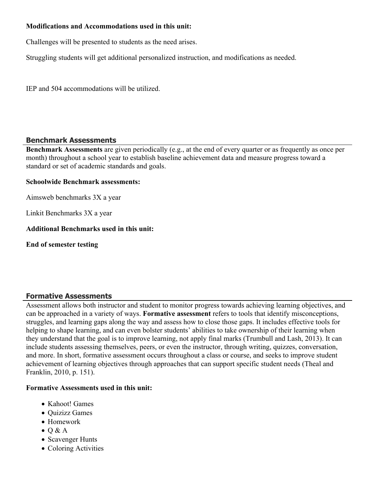#### **Modifications and Accommodations used in this unit:**

Challenges will be presented to students as the need arises.

Struggling students will get additional personalized instruction, and modifications as needed.

IEP and 504 accommodations will be utilized.

#### **Benchmark Assessments**

**Benchmark Assessments** are given periodically (e.g., at the end of every quarter or as frequently as once per month) throughout a school year to establish baseline achievement data and measure progress toward a standard or set of academic standards and goals.

#### **Schoolwide Benchmark assessments:**

Aimsweb benchmarks 3X a year

Linkit Benchmarks 3X a year

#### **Additional Benchmarks used in this unit:**

**End of semester testing**

## **Formative Assessments**

Assessment allows both instructor and student to monitor progress towards achieving learning objectives, and can be approached in a variety of ways. **Formative assessment** refers to tools that identify misconceptions, struggles, and learning gaps along the way and assess how to close those gaps. It includes effective tools for helping to shape learning, and can even bolster students' abilities to take ownership of their learning when they understand that the goal is to improve learning, not apply final marks (Trumbull and Lash, 2013). It can include students assessing themselves, peers, or even the instructor, through writing, quizzes, conversation, and more. In short, formative assessment occurs throughout a class or course, and seeks to improve student achievement of learning objectives through approaches that can support specific student needs (Theal and Franklin, 2010, p. 151).

#### **Formative Assessments used in this unit:**

- Kahoot! Games
- Quizizz Games
- Homework
- $\bullet$  O & A
- Scavenger Hunts
- Coloring Activities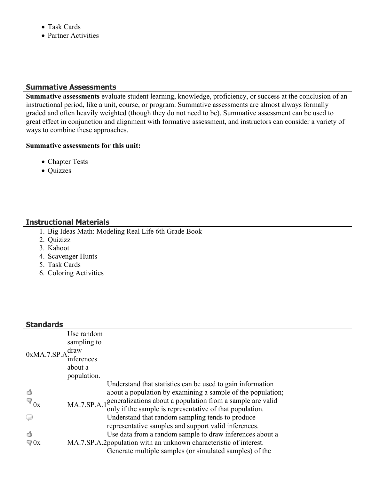- Task Cards
- Partner Activities

#### **Summative Assessments**

**Summative assessments** evaluate student learning, knowledge, proficiency, or success at the conclusion of an instructional period, like a unit, course, or program. Summative assessments are almost always formally graded and often heavily weighted (though they do not need to be). Summative assessment can be used to great effect in conjunction and alignment with formative assessment, and instructors can consider a variety of ways to combine these approaches.

#### **Summative assessments for this unit:**

- Chapter Tests
- Quizzes

# **Instructional Materials**

- 1. Big Ideas Math: Modeling Real Life 6th Grade Book
- 2. Quizizz
- 3. Kahoot
- 4. Scavenger Hunts
- 5. Task Cards
- 6. Coloring Activities

# **Standards**

| 0xMA.7.SP.A                                   | Use random<br>sampling to<br>draw<br>inferences<br>about a<br>population. |                                                                                                                                                                                                                                                                                                                                                                                                                                                                                                                                                                                     |
|-----------------------------------------------|---------------------------------------------------------------------------|-------------------------------------------------------------------------------------------------------------------------------------------------------------------------------------------------------------------------------------------------------------------------------------------------------------------------------------------------------------------------------------------------------------------------------------------------------------------------------------------------------------------------------------------------------------------------------------|
| ₫<br>$\mathbb{F}_{0x}$<br>Ç<br>₫<br>$\Box$ 0x |                                                                           | Understand that statistics can be used to gain information<br>about a population by examining a sample of the population;<br>MA.7.SP.A.1 <sup>generalizations</sup> about a population from a sample are valid<br>only if the sample is representative of that population.<br>Understand that random sampling tends to produce<br>representative samples and support valid inferences.<br>Use data from a random sample to draw inferences about a<br>MA.7.SP.A.2 population with an unknown characteristic of interest.<br>Generate multiple samples (or simulated samples) of the |